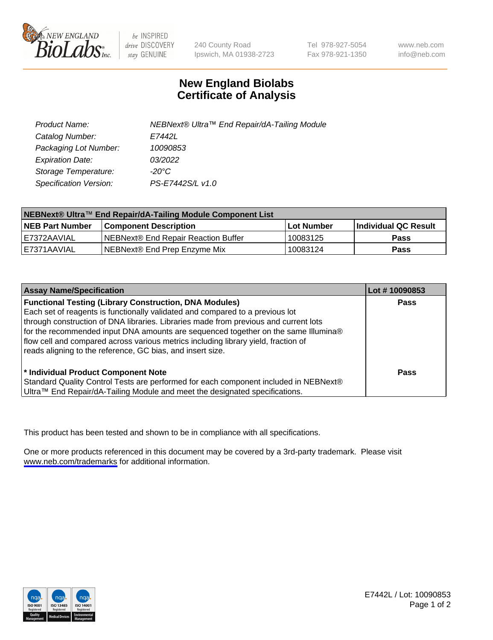

be INSPIRED drive DISCOVERY stay GENUINE

240 County Road Ipswich, MA 01938-2723 Tel 978-927-5054 Fax 978-921-1350

www.neb.com info@neb.com

## **New England Biolabs Certificate of Analysis**

| Product Name:           | NEBNext® Ultra™ End Repair/dA-Tailing Module |
|-------------------------|----------------------------------------------|
| Catalog Number:         | E7442L                                       |
| Packaging Lot Number:   | 10090853                                     |
| <b>Expiration Date:</b> | 03/2022                                      |
| Storage Temperature:    | -20°C                                        |
| Specification Version:  | PS-E7442S/L v1.0                             |

| NEBNext® Ultra™ End Repair/dA-Tailing Module Component List |                                     |              |                      |  |
|-------------------------------------------------------------|-------------------------------------|--------------|----------------------|--|
| <b>NEB Part Number</b>                                      | <b>Component Description</b>        | l Lot Number | Individual QC Result |  |
| E7372AAVIAL                                                 | NEBNext® End Repair Reaction Buffer | 10083125     | <b>Pass</b>          |  |
| IE7371AAVIAL                                                | NEBNext® End Prep Enzyme Mix        | 10083124     | <b>Pass</b>          |  |

| <b>Assay Name/Specification</b>                                                                                                                                                                                                                                                                                                                                                                                                                                                  | Lot #10090853 |
|----------------------------------------------------------------------------------------------------------------------------------------------------------------------------------------------------------------------------------------------------------------------------------------------------------------------------------------------------------------------------------------------------------------------------------------------------------------------------------|---------------|
| <b>Functional Testing (Library Construction, DNA Modules)</b><br>Each set of reagents is functionally validated and compared to a previous lot<br>through construction of DNA libraries. Libraries made from previous and current lots<br>for the recommended input DNA amounts are sequenced together on the same Illumina®<br>flow cell and compared across various metrics including library yield, fraction of<br>reads aligning to the reference, GC bias, and insert size. | <b>Pass</b>   |
| * Individual Product Component Note<br>Standard Quality Control Tests are performed for each component included in NEBNext®<br>Ultra™ End Repair/dA-Tailing Module and meet the designated specifications.                                                                                                                                                                                                                                                                       | Pass          |

This product has been tested and shown to be in compliance with all specifications.

One or more products referenced in this document may be covered by a 3rd-party trademark. Please visit <www.neb.com/trademarks>for additional information.